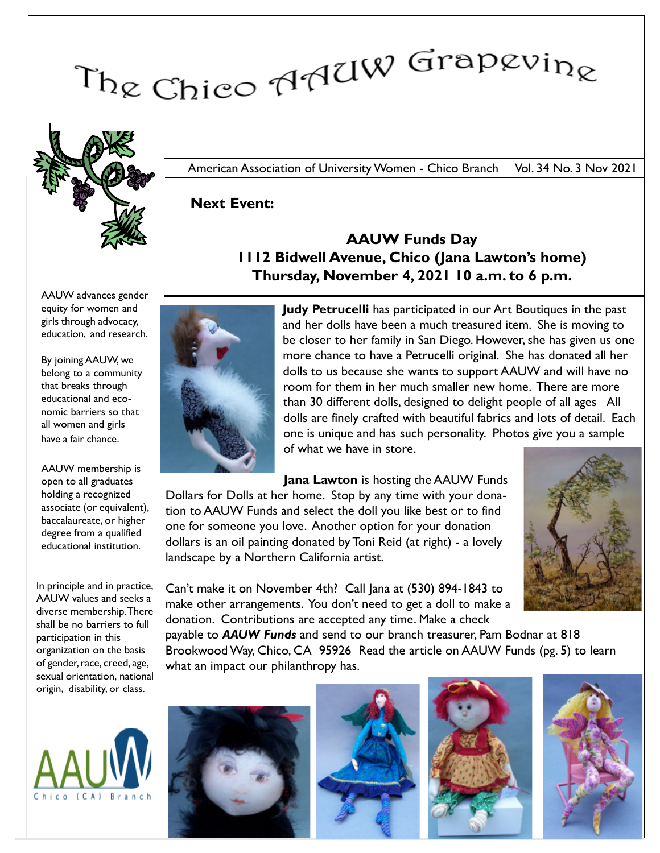# The Chico AAUW Grapevine



American Association of University Women - Chico Branch Vol. 34 No. 3 Nov 2021

Next Event:

### AAUW Funds Day 1112 Bidwell Avenue, Chico (Jana Lawton's home) Thursday, November 4, 2021 10 a.m. to 6 p.m.

AAUW advances gender equity for women and girls through advocacy, education, and research.

By joining AAUW, we belong to a community that breaks through educational and economic barriers so that all women and girls have a fair chance.

AAUW membership is open to all graduates holding a recognized associate (or equivalent), baccalaureate, or higher degree from a qualified educational institution.

In principle and in practice, AAUW values and seeks a diverse membership. There shall be no barriers to full participation in this organization on the basis of gender, race, creed, age, sexual orientation, national origin, disability, or class.





Judy Petrucelli has participated in our Art Boutiques in the past and her dolls have been a much treasured item. She is moving to be closer to her family in San Diego. However, she has given us one more chance to have a Petrucelli original. She has donated all her dolls to us because she wants to support AAUW and will have no room for them in her much smaller new home. There are more than 30 different dolls, designed to delight people of all ages All dolls are finely crafted with beautiful fabrics and lots of detail. Each one is unique and has such personality. Photos give you a sample of what we have in store.

Jana Lawton is hosting the AAUW Funds Dollars for Dolls at her home. Stop by any time with your donation to AAUW Funds and select the doll you like best or to find one for someone you love. Another option for your donation dollars is an oil painting donated by Toni Reid (at right) - a lovely landscape by a Northern California artist.



Can't make it on November 4th? Call Jana at (530) 894-1843 to make other arrangements. You don't need to get a doll to make a donation. Contributions are accepted any time. Make a check

payable to AAUW Funds and send to our branch treasurer, Pam Bodnar at 818 Brookwood Way, Chico, CA 95926 Read the article on AAUW Funds (pg. 5) to learn what an impact our philanthropy has.







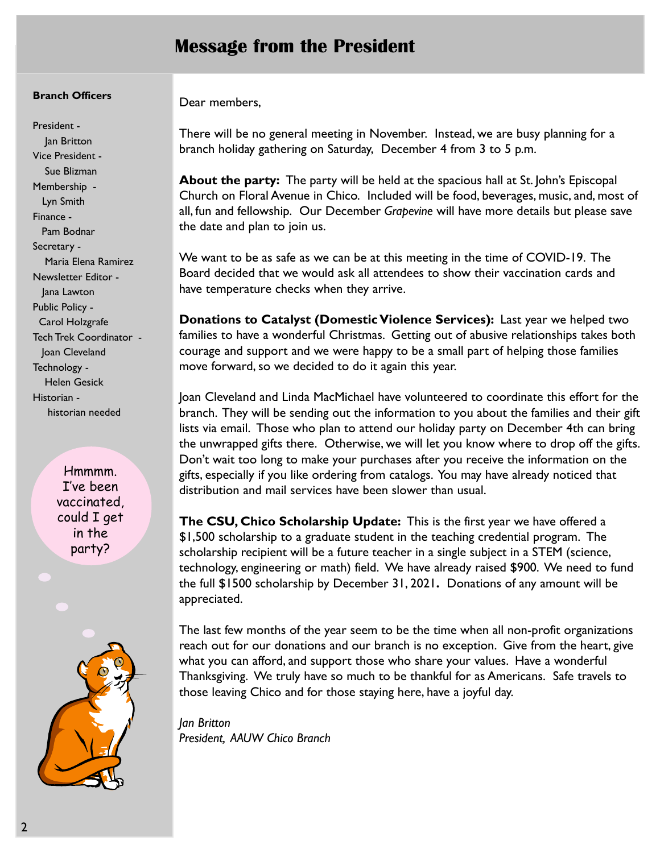# Message from the President

#### Branch Officers

President - Jan Britton Vice President - Sue Blizman Membership - Lyn Smith Finance - Pam Bodnar Secretary - Maria Elena Ramirez Newsletter Editor - Jana Lawton Public Policy - Carol Holzgrafe Tech Trek Coordinator - Joan Cleveland Technology - Helen Gesick Historian historian needed

> Hmmmm. I've been vaccinated, could I get in the party?



Dear members,

There will be no general meeting in November. Instead, we are busy planning for a branch holiday gathering on Saturday, December 4 from 3 to 5 p.m.

About the party: The party will be held at the spacious hall at St. John's Episcopal Church on Floral Avenue in Chico. Included will be food, beverages, music, and, most of all, fun and fellowship. Our December Grapevine will have more details but please save the date and plan to join us.

We want to be as safe as we can be at this meeting in the time of COVID-19. The Board decided that we would ask all attendees to show their vaccination cards and have temperature checks when they arrive.

Donations to Catalyst (Domestic Violence Services): Last year we helped two families to have a wonderful Christmas. Getting out of abusive relationships takes both courage and support and we were happy to be a small part of helping those families move forward, so we decided to do it again this year.

Joan Cleveland and Linda MacMichael have volunteered to coordinate this effort for the branch. They will be sending out the information to you about the families and their gift lists via email. Those who plan to attend our holiday party on December 4th can bring the unwrapped gifts there. Otherwise, we will let you know where to drop off the gifts. Don't wait too long to make your purchases after you receive the information on the gifts, especially if you like ordering from catalogs. You may have already noticed that distribution and mail services have been slower than usual.

The CSU, Chico Scholarship Update: This is the first year we have offered a \$1,500 scholarship to a graduate student in the teaching credential program. The scholarship recipient will be a future teacher in a single subject in a STEM (science, technology, engineering or math) field. We have already raised \$900. We need to fund the full \$1500 scholarship by December 31, 2021. Donations of any amount will be appreciated.

The last few months of the year seem to be the time when all non-profit organizations reach out for our donations and our branch is no exception. Give from the heart, give what you can afford, and support those who share your values. Have a wonderful Thanksgiving. We truly have so much to be thankful for as Americans. Safe travels to those leaving Chico and for those staying here, have a joyful day.

Jan Britton President, AAUW Chico Branch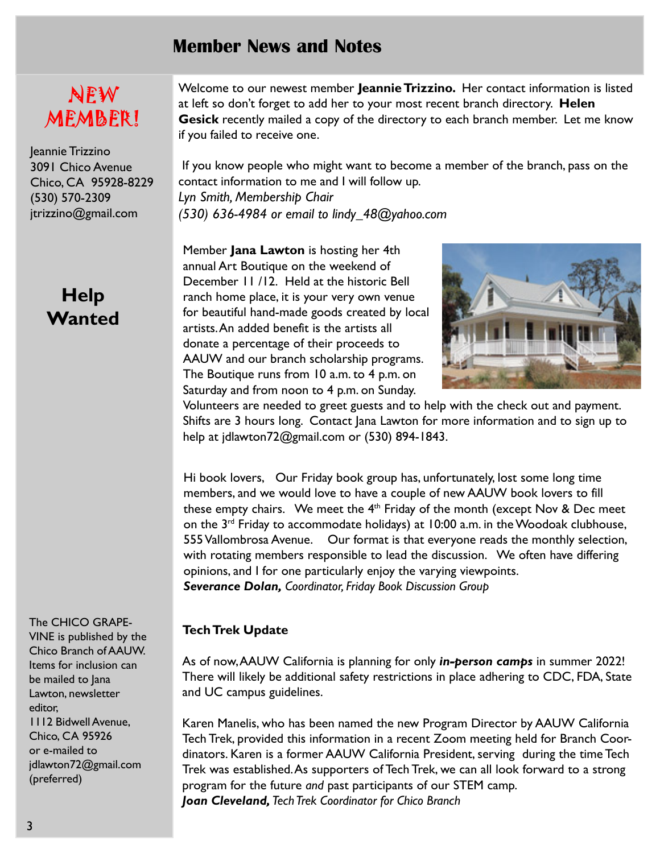# Member News and Notes

# NEW MEMBER!

Jeannie Trizzino 3091 Chico Avenue Chico, CA 95928-8229 (530) 570-2309 jtrizzino@gmail.com

# Help **Wanted**

The CHICO GRAPE-

VINE is published by the Chico Branch of AAUW. Items for inclusion can be mailed to Jana Lawton, newsletter editor, 1112 Bidwell Avenue, Chico, CA 95926 or e-mailed to jdlawton72@gmail.com (preferred)

Welcome to our newest member Jeannie Trizzino. Her contact information is listed at left so don't forget to add her to your most recent branch directory. Helen Gesick recently mailed a copy of the directory to each branch member. Let me know if you failed to receive one.

 If you know people who might want to become a member of the branch, pass on the contact information to me and I will follow up.

Lyn Smith, Membership Chair (530) 636-4984 or email to lindy\_48@yahoo.com

Member **Jana Lawton** is hosting her 4th annual Art Boutique on the weekend of December 11 /12. Held at the historic Bell ranch home place, it is your very own venue for beautiful hand-made goods created by local artists.An added benefit is the artists all donate a percentage of their proceeds to AAUW and our branch scholarship programs. The Boutique runs from 10 a.m. to 4 p.m. on Saturday and from noon to 4 p.m. on Sunday.



Volunteers are needed to greet guests and to help with the check out and payment. Shifts are 3 hours long. Contact Jana Lawton for more information and to sign up to help at jdlawton72@gmail.com or (530) 894-1843.

Hi book lovers, Our Friday book group has, unfortunately, lost some long time members, and we would love to have a couple of new AAUW book lovers to fill these empty chairs. We meet the  $4<sup>th</sup>$  Friday of the month (except Nov & Dec meet on the 3rd Friday to accommodate holidays) at 10:00 a.m. in the Woodoak clubhouse, 555 Vallombrosa Avenue. Our format is that everyone reads the monthly selection, with rotating members responsible to lead the discussion. We often have differing opinions, and I for one particularly enjoy the varying viewpoints. Severance Dolan, Coordinator, Friday Book Discussion Group

#### Tech Trek Update

As of now, AAUW California is planning for only in-person camps in summer 2022! There will likely be additional safety restrictions in place adhering to CDC, FDA, State and UC campus guidelines.

Karen Manelis, who has been named the new Program Director by AAUW California Tech Trek, provided this information in a recent Zoom meeting held for Branch Coordinators. Karen is a former AAUW California President, serving during the time Tech Trek was established.As supporters of Tech Trek, we can all look forward to a strong program for the future and past participants of our STEM camp. Joan Cleveland, Tech Trek Coordinator for Chico Branch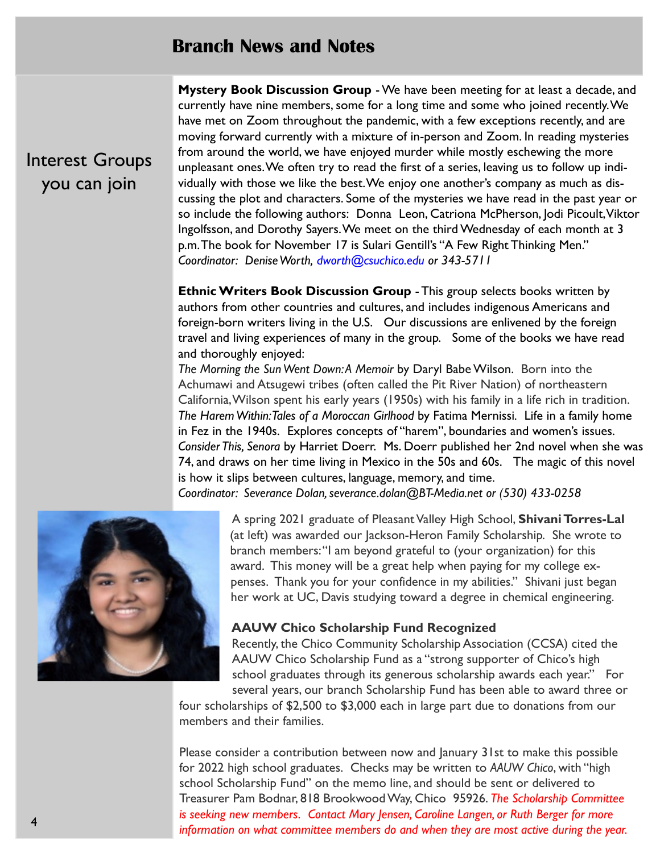## Branch News and Notes

Interest Groups you can join

Mystery Book Discussion Group - We have been meeting for at least a decade, and currently have nine members, some for a long time and some who joined recently. We have met on Zoom throughout the pandemic, with a few exceptions recently, and are moving forward currently with a mixture of in-person and Zoom. In reading mysteries from around the world, we have enjoyed murder while mostly eschewing the more unpleasant ones. We often try to read the first of a series, leaving us to follow up individually with those we like the best. We enjoy one another's company as much as discussing the plot and characters. Some of the mysteries we have read in the past year or so include the following authors: Donna Leon, Catriona McPherson, Jodi Picoult,Viktor Ingolfsson, and Dorothy Sayers. We meet on the third Wednesday of each month at 3 p.m.The book for November 17 is Sulari Gentill's "A Few Right Thinking Men." Coordinator: Denise Worth, dworth@csuchico.edu or 343-5711

Ethnic Writers Book Discussion Group - This group selects books written by authors from other countries and cultures, and includes indigenous Americans and foreign-born writers living in the U.S. Our discussions are enlivened by the foreign travel and living experiences of many in the group. Some of the books we have read and thoroughly enjoyed:

The Morning the Sun Went Down:A Memoir by Daryl Babe Wilson. Born into the Achumawi and Atsugewi tribes (often called the Pit River Nation) of northeastern California,Wilson spent his early years (1950s) with his family in a life rich in tradition. The Harem Within: Tales of a Moroccan Girlhood by Fatima Mernissi. Life in a family home in Fez in the 1940s. Explores concepts of "harem", boundaries and women's issues. Consider This, Senora by Harriet Doerr. Ms. Doerr published her 2nd novel when she was 74, and draws on her time living in Mexico in the 50s and 60s. The magic of this novel is how it slips between cultures, language, memory, and time.

Coordinator: Severance Dolan, severance.dolan@BT-Media.net or (530) 433-0258



A spring 2021 graduate of Pleasant Valley High School, Shivani Torres-Lal (at left) was awarded our Jackson-Heron Family Scholarship. She wrote to branch members:"I am beyond grateful to (your organization) for this award. This money will be a great help when paying for my college expenses. Thank you for your confidence in my abilities." Shivani just began her work at UC, Davis studying toward a degree in chemical engineering.

#### AAUW Chico Scholarship Fund Recognized

Recently, the Chico Community Scholarship Association (CCSA) cited the AAUW Chico Scholarship Fund as a "strong supporter of Chico's high school graduates through its generous scholarship awards each year." For several years, our branch Scholarship Fund has been able to award three or

four scholarships of \$2,500 to \$3,000 each in large part due to donations from our members and their families.

Please consider a contribution between now and January 31st to make this possible for 2022 high school graduates. Checks may be written to AAUW Chico, with "high school Scholarship Fund" on the memo line, and should be sent or delivered to Treasurer Pam Bodnar, 818 Brookwood Way, Chico 95926. The Scholarship Committee is seeking new members. Contact Mary Jensen, Caroline Langen, or Ruth Berger for more information on what committee members do and when they are most active during the year.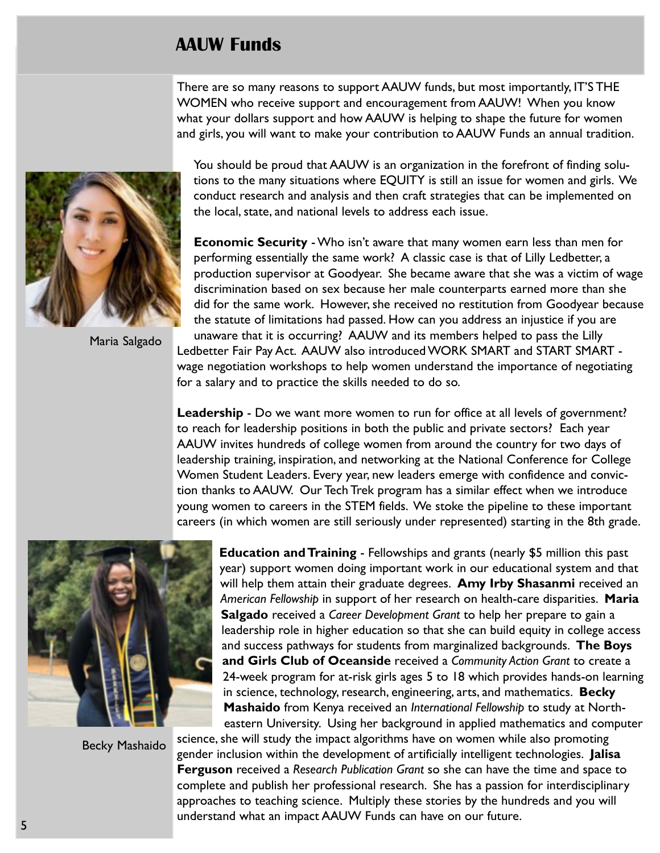# AAUW Funds

There are so many reasons to support AAUW funds, but most importantly, IT'S THE WOMEN who receive support and encouragement from AAUW! When you know what your dollars support and how AAUW is helping to shape the future for women and girls, you will want to make your contribution to AAUW Funds an annual tradition.



Maria Salgado

You should be proud that AAUW is an organization in the forefront of finding solutions to the many situations where EQUITY is still an issue for women and girls. We conduct research and analysis and then craft strategies that can be implemented on the local, state, and national levels to address each issue.

Economic Security - Who isn't aware that many women earn less than men for performing essentially the same work? A classic case is that of Lilly Ledbetter, a production supervisor at Goodyear. She became aware that she was a victim of wage discrimination based on sex because her male counterparts earned more than she did for the same work. However, she received no restitution from Goodyear because the statute of limitations had passed. How can you address an injustice if you are unaware that it is occurring? AAUW and its members helped to pass the Lilly Ledbetter Fair Pay Act. AAUW also introduced WORK SMART and START SMART wage negotiation workshops to help women understand the importance of negotiating for a salary and to practice the skills needed to do so.

**Leadership** - Do we want more women to run for office at all levels of government? to reach for leadership positions in both the public and private sectors? Each year AAUW invites hundreds of college women from around the country for two days of leadership training, inspiration, and networking at the National Conference for College Women Student Leaders. Every year, new leaders emerge with confidence and conviction thanks to AAUW. Our Tech Trek program has a similar effect when we introduce young women to careers in the STEM fields. We stoke the pipeline to these important careers (in which women are still seriously under represented) starting in the 8th grade.



Becky Mashaido

**Education and Training** - Fellowships and grants (nearly \$5 million this past year) support women doing important work in our educational system and that will help them attain their graduate degrees. Amy Irby Shasanmi received an American Fellowship in support of her research on health-care disparities. Maria Salgado received a Career Development Grant to help her prepare to gain a leadership role in higher education so that she can build equity in college access and success pathways for students from marginalized backgrounds. The Boys and Girls Club of Oceanside received a Community Action Grant to create a 24-week program for at-risk girls ages 5 to 18 which provides hands-on learning in science, technology, research, engineering, arts, and mathematics. Becky Mashaido from Kenya received an International Fellowship to study at Northeastern University. Using her background in applied mathematics and computer

science, she will study the impact algorithms have on women while also promoting gender inclusion within the development of artificially intelligent technologies. Jalisa Ferguson received a Research Publication Grant so she can have the time and space to complete and publish her professional research. She has a passion for interdisciplinary approaches to teaching science. Multiply these stories by the hundreds and you will understand what an impact AAUW Funds can have on our future.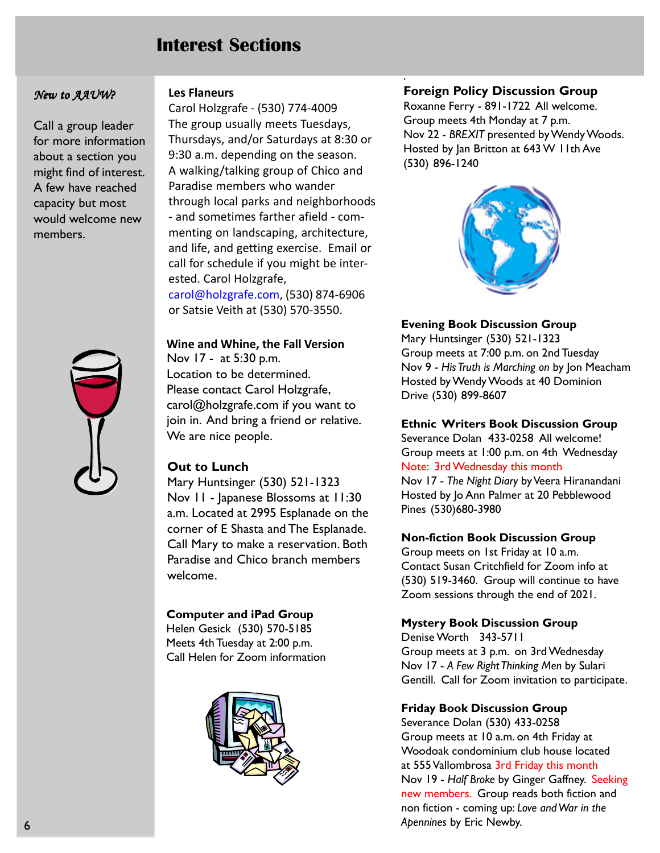# Interest Sections

#### New to AAUW?

Call a group leader for more information about a section you might find of interest. A few have reached capacity but most would welcome new members.



#### Les Flaneurs

Carol Holzgrafe - (530) 774-4009 The group usually meets Tuesdays, Thursdays, and/or Saturdays at 8:30 or 9:30 a.m. depending on the season. A walking/talking group of Chico and Paradise members who wander through local parks and neighborhoods - and sometimes farther afield - commenting on landscaping, architecture, and life, and getting exercise. Email or call for schedule if you might be interested. Carol Holzgrafe, carol@holzgrafe.com, (530) 874-6906 or Satsie Veith at (530) 570-3550.

Wine and Whine, the Fall Version Nov 17 - at 5:30 p.m. Location to be determined. Please contact Carol Holzgrafe, carol@holzgrafe.com if you want to join in. And bring a friend or relative. We are nice people.

#### Out to Lunch

Mary Huntsinger (530) 521-1323 Nov 11 - Japanese Blossoms at 11:30 a.m. Located at 2995 Esplanade on the corner of E Shasta and The Esplanade. Call Mary to make a reservation. Both Paradise and Chico branch members welcome.

#### Computer and iPad Group

Helen Gesick (530) 570-5185 Meets 4th Tuesday at 2:00 p.m. Call Helen for Zoom information



#### Foreign Policy Discussion Group

.

Roxanne Ferry - 891-1722 All welcome. Group meets 4th Monday at 7 p.m. Nov 22 - BREXIT presented by Wendy Woods. Hosted by Jan Britton at 643 W 11th Ave (530) 896-1240



#### Evening Book Discussion Group

Mary Huntsinger (530) 521-1323 Group meets at 7:00 p.m. on 2nd Tuesday Nov 9 - His Truth is Marching on by Jon Meacham Hosted by Wendy Woods at 40 Dominion Drive (530) 899-8607

#### Ethnic Writers Book Discussion Group

Severance Dolan 433-0258 All welcome! Group meets at 1:00 p.m. on 4th Wednesday Note: 3rd Wednesday this month

Nov 17 - The Night Diary by Veera Hiranandani Hosted by Jo Ann Palmer at 20 Pebblewood Pines (530)680-3980

#### Non-fiction Book Discussion Group

Group meets on 1st Friday at 10 a.m. Contact Susan Critchfield for Zoom info at (530) 519-3460. Group will continue to have Zoom sessions through the end of 2021.

#### Mystery Book Discussion Group

Denise Worth 343-5711 Group meets at 3 p.m. on 3rd Wednesday Nov 17 - A Few Right Thinking Men by Sulari Gentill. Call for Zoom invitation to participate.

#### Friday Book Discussion Group

Severance Dolan (530) 433-0258 Group meets at 10 a.m. on 4th Friday at Woodoak condominium club house located at 555 Vallombrosa 3rd Friday this month Nov 19 - Half Broke by Ginger Gaffney. Seeking new members. Group reads both fiction and non fiction - coming up: Love and War in the Apennines by Eric Newby.